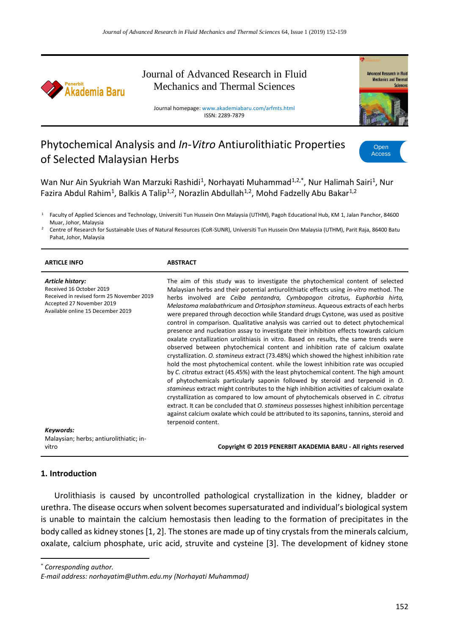

## Journal of Advanced Research in Fluid Mechanics and Thermal Sciences

Journal homepage: www.akademiabaru.com/arfmts.html ISSN: 2289-7879



# Phytochemical Analysis and *In-Vitro* Antiurolithiatic Properties of Selected Malaysian Herbs



Wan Nur Ain Syukriah Wan Marzuki Rashidi<sup>1</sup>, Norhayati Muhammad<sup>1,2,\*</sup>, Nur Halimah Sairi<sup>1</sup>, Nur Fazira Abdul Rahim<sup>1</sup>, Balkis A Talip<sup>1,2</sup>, Norazlin Abdullah<sup>1,2</sup>, Mohd Fadzelly Abu Bakar<sup>1,2</sup>

<sup>1</sup> Faculty of Applied Sciences and Technology, Universiti Tun Hussein Onn Malaysia (UTHM), Pagoh Educational Hub, KM 1, Jalan Panchor, 84600 Muar, Johor, Malaysia

<sup>2</sup> Centre of Research for Sustainable Uses of Natural Resources (CoR-SUNR), Universiti Tun Hussein Onn Malaysia (UTHM), Parit Raja, 86400 Batu Pahat, Johor, Malaysia

| <b>ARTICLE INFO</b>                                                                                                                                                      | <b>ABSTRACT</b>                                                                                                                                                                                                                                                                                                                                                                                                                                                                                                                                                                                                                                                                                                                                                                                                                                                                                                                                                                                                                                                                                                                                                                                                                                                                                                                                                                                                                                                                                                                                      |
|--------------------------------------------------------------------------------------------------------------------------------------------------------------------------|------------------------------------------------------------------------------------------------------------------------------------------------------------------------------------------------------------------------------------------------------------------------------------------------------------------------------------------------------------------------------------------------------------------------------------------------------------------------------------------------------------------------------------------------------------------------------------------------------------------------------------------------------------------------------------------------------------------------------------------------------------------------------------------------------------------------------------------------------------------------------------------------------------------------------------------------------------------------------------------------------------------------------------------------------------------------------------------------------------------------------------------------------------------------------------------------------------------------------------------------------------------------------------------------------------------------------------------------------------------------------------------------------------------------------------------------------------------------------------------------------------------------------------------------------|
| Article history:<br>Received 16 October 2019<br>Received in revised form 25 November 2019<br>Accepted 27 November 2019<br>Available online 15 December 2019<br>Keywords: | The aim of this study was to investigate the phytochemical content of selected<br>Malaysian herbs and their potential antiurolithiatic effects using in-vitro method. The<br>herbs involved are Ceiba pentandra, Cymbopogon citratus, Euphorbia hirta,<br>Melastoma malabathricum and Ortosiphon stamineus. Aqueous extracts of each herbs<br>were prepared through decoction while Standard drugs Cystone, was used as positive<br>control in comparison. Qualitative analysis was carried out to detect phytochemical<br>presence and nucleation assay to investigate their inhibition effects towards calcium<br>oxalate crystallization urolithiasis in vitro. Based on results, the same trends were<br>observed between phytochemical content and inhibition rate of calcium oxalate<br>crystallization. O. stamineus extract (73.48%) which showed the highest inhibition rate<br>hold the most phytochemical content. while the lowest inhibition rate was occupied<br>by C. citratus extract (45.45%) with the least phytochemical content. The high amount<br>of phytochemicals particularly saponin followed by steroid and terpenoid in O.<br>stamineus extract might contributes to the high inhibition activities of calcium oxalate<br>crystallization as compared to low amount of phytochemicals observed in C. citratus<br>extract. It can be concluded that O. stamineus possesses highest inhibition percentage<br>against calcium oxalate which could be attributed to its saponins, tannins, steroid and<br>terpenoid content. |
| Malaysian; herbs; antiurolithiatic; in-<br>vitro                                                                                                                         | Copyright © 2019 PENERBIT AKADEMIA BARU - All rights reserved                                                                                                                                                                                                                                                                                                                                                                                                                                                                                                                                                                                                                                                                                                                                                                                                                                                                                                                                                                                                                                                                                                                                                                                                                                                                                                                                                                                                                                                                                        |

#### **1. Introduction**

Urolithiasis is caused by uncontrolled pathological crystallization in the kidney, bladder or urethra. The disease occurs when solvent becomes supersaturated and individual's biological system is unable to maintain the calcium hemostasis then leading to the formation of precipitates in the body called as kidney stones [1, 2]. The stones are made up of tiny crystals from the minerals calcium, oxalate, calcium phosphate, uric acid, struvite and cysteine [3]. The development of kidney stone

\* *Corresponding author.*

1

*E-mail address: norhayatim@uthm.edu.my (Norhayati Muhammad)*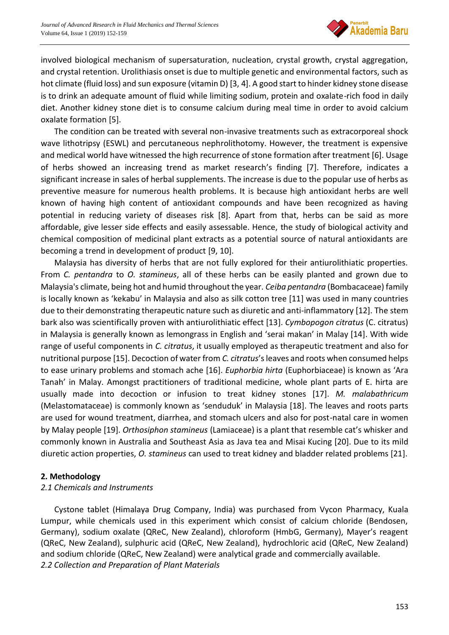

involved biological mechanism of supersaturation, nucleation, crystal growth, crystal aggregation, and crystal retention. Urolithiasis onset is due to multiple genetic and environmental factors, such as hot climate (fluid loss) and sun exposure (vitamin D) [3, 4]. A good start to hinder kidney stone disease is to drink an adequate amount of fluid while limiting sodium, protein and oxalate-rich food in daily diet. Another kidney stone diet is to consume calcium during meal time in order to avoid calcium oxalate formation [5].

The condition can be treated with several non-invasive treatments such as extracorporeal shock wave lithotripsy (ESWL) and percutaneous nephrolithotomy. However, the treatment is expensive and medical world have witnessed the high recurrence of stone formation after treatment [6]. Usage of herbs showed an increasing trend as market research's finding [7]. Therefore, indicates a significant increase in sales of herbal supplements. The increase is due to the popular use of herbs as preventive measure for numerous health problems. It is because high antioxidant herbs are well known of having high content of antioxidant compounds and have been recognized as having potential in reducing variety of diseases risk [8]. Apart from that, herbs can be said as more affordable, give lesser side effects and easily assessable. Hence, the study of biological activity and chemical composition of medicinal plant extracts as a potential source of natural antioxidants are becoming a trend in development of product [9, 10].

Malaysia has diversity of herbs that are not fully explored for their antiurolithiatic properties. From *C. pentandra* to *O. stamineus*, all of these herbs can be easily planted and grown due to Malaysia's climate, being hot and humid throughout the year. *Ceiba pentandra* (Bombacaceae) family is locally known as 'kekabu' in Malaysia and also as silk cotton tree [11] was used in many countries due to their demonstrating therapeutic nature such as diuretic and anti-inflammatory [12]. The stem bark also was scientifically proven with antiurolithiatic effect [13]. *Cymbopogon citratus* (C. citratus) in Malaysia is generally known as lemongrass in English and 'serai makan' in Malay [14]. With wide range of useful components in *C. citratus*, it usually employed as therapeutic treatment and also for nutritional purpose [15]. Decoction of water from *C. citratus*'s leaves and roots when consumed helps to ease urinary problems and stomach ache [16]. *Euphorbia hirta* (Euphorbiaceae) is known as 'Ara Tanah' in Malay. Amongst practitioners of traditional medicine, whole plant parts of E. hirta are usually made into decoction or infusion to treat kidney stones [17]. *M. malabathricum* (Melastomataceae) is commonly known as 'senduduk' in Malaysia [18]. The leaves and roots parts are used for wound treatment, diarrhea, and stomach ulcers and also for post-natal care in women by Malay people [19]. *Orthosiphon stamineus* (Lamiaceae) is a plant that resemble cat's whisker and commonly known in Australia and Southeast Asia as Java tea and Misai Kucing [20]. Due to its mild diuretic action properties, *O. stamineus* can used to treat kidney and bladder related problems [21].

#### **2. Methodology**

#### *2.1 Chemicals and Instruments*

Cystone tablet (Himalaya Drug Company, India) was purchased from Vycon Pharmacy, Kuala Lumpur, while chemicals used in this experiment which consist of calcium chloride (Bendosen, Germany), sodium oxalate (QReC, New Zealand), chloroform (HmbG, Germany), Mayer's reagent (QReC, New Zealand), sulphuric acid (QReC, New Zealand), hydrochloric acid (QReC, New Zealand) and sodium chloride (QReC, New Zealand) were analytical grade and commercially available. *2.2 Collection and Preparation of Plant Materials*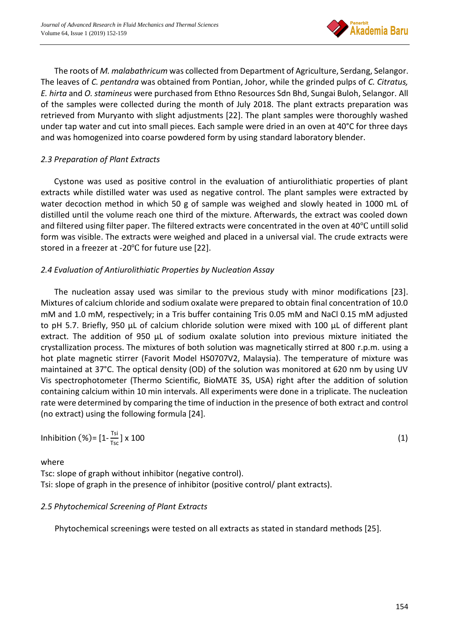

The roots of *M. malabathricum* was collected from Department of Agriculture, Serdang, Selangor. The leaves of *C. pentandra* was obtained from Pontian, Johor, while the grinded pulps of *C. Citratus, E. hirta* and *O. stamineus* were purchased from Ethno Resources Sdn Bhd, Sungai Buloh, Selangor. All of the samples were collected during the month of July 2018. The plant extracts preparation was retrieved from Muryanto with slight adjustments [22]. The plant samples were thoroughly washed under tap water and cut into small pieces. Each sample were dried in an oven at 40°C for three days and was homogenized into coarse powdered form by using standard laboratory blender.

## *2.3 Preparation of Plant Extracts*

Cystone was used as positive control in the evaluation of antiurolithiatic properties of plant extracts while distilled water was used as negative control. The plant samples were extracted by water decoction method in which 50 g of sample was weighed and slowly heated in 1000 mL of distilled until the volume reach one third of the mixture. Afterwards, the extract was cooled down and filtered using filter paper. The filtered extracts were concentrated in the oven at 40℃ untill solid form was visible. The extracts were weighed and placed in a universal vial. The crude extracts were stored in a freezer at -20℃ for future use [22].

## *2.4 Evaluation of Antiurolithiatic Properties by Nucleation Assay*

The nucleation assay used was similar to the previous study with minor modifications [23]. Mixtures of calcium chloride and sodium oxalate were prepared to obtain final concentration of 10.0 mM and 1.0 mM, respectively; in a Tris buffer containing Tris 0.05 mM and NaCl 0.15 mM adjusted to pH 5.7. Briefly, 950 µL of calcium chloride solution were mixed with 100 µL of different plant extract. The addition of 950 µL of sodium oxalate solution into previous mixture initiated the crystallization process. The mixtures of both solution was magnetically stirred at 800 r.p.m. using a hot plate magnetic stirrer (Favorit Model HS0707V2, Malaysia). The temperature of mixture was maintained at 37°C. The optical density (OD) of the solution was monitored at 620 nm by using UV Vis spectrophotometer (Thermo Scientific, BioMATE 3S, USA) right after the addition of solution containing calcium within 10 min intervals. All experiments were done in a triplicate. The nucleation rate were determined by comparing the time of induction in the presence of both extract and control (no extract) using the following formula [24].

$$
Inhibition (%) = [1 - \frac{Ts}{Ts} ] \times 100
$$
 (1)

where

Tsc: slope of graph without inhibitor (negative control). Tsi: slope of graph in the presence of inhibitor (positive control/ plant extracts).

## *2.5 Phytochemical Screening of Plant Extracts*

Phytochemical screenings were tested on all extracts as stated in standard methods [25].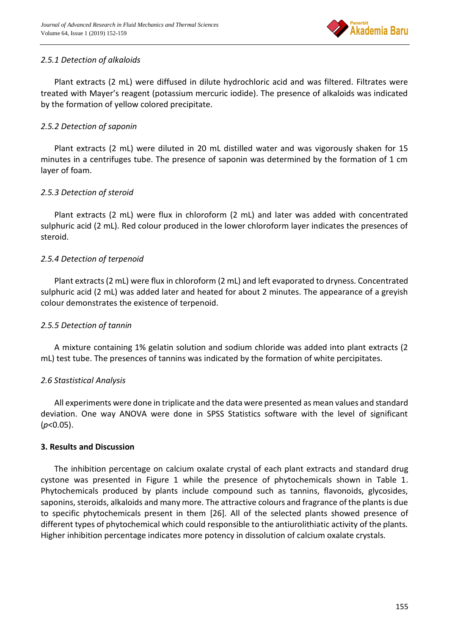

#### *2.5.1 Detection of alkaloids*

Plant extracts (2 mL) were diffused in dilute hydrochloric acid and was filtered. Filtrates were treated with Mayer's reagent (potassium mercuric iodide). The presence of alkaloids was indicated by the formation of yellow colored precipitate.

#### *2.5.2 Detection of saponin*

Plant extracts (2 mL) were diluted in 20 mL distilled water and was vigorously shaken for 15 minutes in a centrifuges tube. The presence of saponin was determined by the formation of 1 cm layer of foam.

## *2.5.3 Detection of steroid*

Plant extracts (2 mL) were flux in chloroform (2 mL) and later was added with concentrated sulphuric acid (2 mL). Red colour produced in the lower chloroform layer indicates the presences of steroid.

## *2.5.4 Detection of terpenoid*

Plant extracts (2 mL) were flux in chloroform (2 mL) and left evaporated to dryness. Concentrated sulphuric acid (2 mL) was added later and heated for about 2 minutes. The appearance of a greyish colour demonstrates the existence of terpenoid.

#### *2.5.5 Detection of tannin*

A mixture containing 1% gelatin solution and sodium chloride was added into plant extracts (2 mL) test tube. The presences of tannins was indicated by the formation of white percipitates.

#### *2.6 Stastistical Analysis*

All experiments were done in triplicate and the data were presented as mean values and standard deviation. One way ANOVA were done in SPSS Statistics software with the level of significant (*p*<0.05).

#### **3. Results and Discussion**

The inhibition percentage on calcium oxalate crystal of each plant extracts and standard drug cystone was presented in Figure 1 while the presence of phytochemicals shown in Table 1. Phytochemicals produced by plants include compound such as tannins, flavonoids, glycosides, saponins, steroids, alkaloids and many more. The attractive colours and fragrance of the plants is due to specific phytochemicals present in them [26]. All of the selected plants showed presence of different types of phytochemical which could responsible to the antiurolithiatic activity of the plants. Higher inhibition percentage indicates more potency in dissolution of calcium oxalate crystals.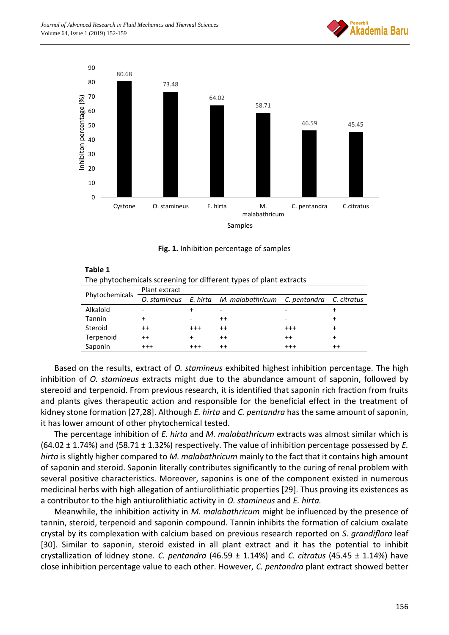



**Fig. 1.** Inhibition percentage of samples

| The phytochemicals screening for different types of plant extracts |               |  |                                                                 |   |  |  |  |
|--------------------------------------------------------------------|---------------|--|-----------------------------------------------------------------|---|--|--|--|
| Phytochemicals                                                     | Plant extract |  |                                                                 |   |  |  |  |
|                                                                    |               |  | O. stamineus E. hirta M. malabathricum C. pentandra C. citratus |   |  |  |  |
| Alkaloid                                                           |               |  |                                                                 |   |  |  |  |
| Tannin                                                             |               |  | $^{\mathrm{+}}$                                                 | - |  |  |  |
| Steroid                                                            |               |  |                                                                 |   |  |  |  |

Terpenoid ++ + ++ ++ + Saponin +++ +++ ++ ++ +++ +++ +++

**Table 1**

Based on the results, extract of *O. stamineus* exhibited highest inhibition percentage. The high inhibition of *O. stamineus* extracts might due to the abundance amount of saponin, followed by stereoid and terpenoid. From previous research, it is identified that saponin rich fraction from fruits and plants gives therapeutic action and responsible for the beneficial effect in the treatment of kidney stone formation [27,28]. Although *E. hirta* and *C. pentandra* has the same amount of saponin, it has lower amount of other phytochemical tested.

The percentage inhibition of *E. hirta* and *M. malabathricum* extracts was almost similar which is (64.02 ± 1.74%) and (58.71 ± 1.32%) respectively. The value of inhibition percentage possessed by *E. hirta* is slightly higher compared to *M. malabathricum* mainly to the fact that it contains high amount of saponin and steroid. Saponin literally contributes significantly to the curing of renal problem with several positive characteristics. Moreover, saponins is one of the component existed in numerous medicinal herbs with high allegation of antiurolithiatic properties [29]. Thus proving its existences as a contributor to the high antiurolithiatic activity in *O. stamineus* and *E. hirta.*

Meanwhile, the inhibition activity in *M. malabathricum* might be influenced by the presence of tannin, steroid, terpenoid and saponin compound. Tannin inhibits the formation of calcium oxalate crystal by its complexation with calcium based on previous research reported on *S. grandiflora* leaf [30]. Similar to saponin, steroid existed in all plant extract and it has the potential to inhibit crystallization of kidney stone. *C. pentandra* (46.59 ± 1.14%) and *C. citratus* (45.45 ± 1.14%) have close inhibition percentage value to each other. However, *C. pentandra* plant extract showed better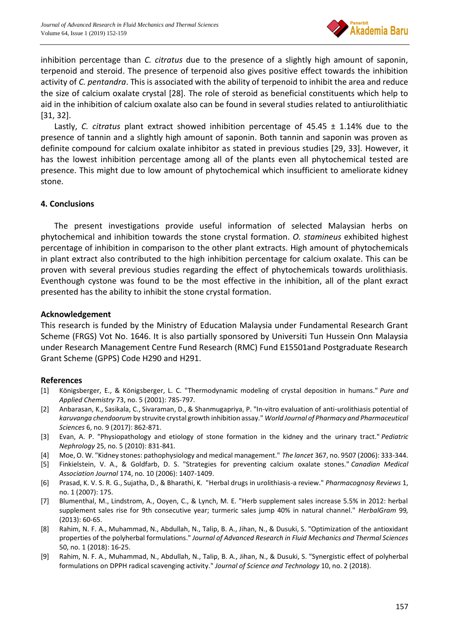

inhibition percentage than *C. citratus* due to the presence of a slightly high amount of saponin, terpenoid and steroid. The presence of terpenoid also gives positive effect towards the inhibition activity of *C. pentandra*. This is associated with the ability of terpenoid to inhibit the area and reduce the size of calcium oxalate crystal [28]. The role of steroid as beneficial constituents which help to aid in the inhibition of calcium oxalate also can be found in several studies related to antiurolithiatic [31, 32].

Lastly, *C. citratus* plant extract showed inhibition percentage of 45.45 ± 1.14% due to the presence of tannin and a slightly high amount of saponin. Both tannin and saponin was proven as definite compound for calcium oxalate inhibitor as stated in previous studies [29, 33]. However, it has the lowest inhibition percentage among all of the plants even all phytochemical tested are presence. This might due to low amount of phytochemical which insufficient to ameliorate kidney stone.

#### **4. Conclusions**

The present investigations provide useful information of selected Malaysian herbs on phytochemical and inhibition towards the stone crystal formation. *O. stamineus* exhibited highest percentage of inhibition in comparison to the other plant extracts. High amount of phytochemicals in plant extract also contributed to the high inhibition percentage for calcium oxalate. This can be proven with several previous studies regarding the effect of phytochemicals towards urolithiasis. Eventhough cystone was found to be the most effective in the inhibition, all of the plant exract presented has the ability to inhibit the stone crystal formation.

#### **Acknowledgement**

This research is funded by the Ministry of Education Malaysia under Fundamental Research Grant Scheme (FRGS) Vot No. 1646. It is also partially sponsored by Universiti Tun Hussein Onn Malaysia under Research Management Centre Fund Research (RMC) Fund E15501and Postgraduate Research Grant Scheme (GPPS) Code H290 and H291.

#### **References**

- [1] Königsberger, E., & Königsberger, L. C. "Thermodynamic modeling of crystal deposition in humans." *Pure and Applied Chemistry* 73, no. 5 (2001): 785-797.
- [2] Anbarasan, K., Sasikala, C., Sivaraman, D., & Shanmugapriya, P. "In-vitro evaluation of anti-urolithiasis potential of *karuvanga chendoorum* by struvite crystal growth inhibition assay." *World Journal of Pharmacy and Pharmaceutical Sciences* 6, no. 9 (2017): 862-871.
- [3] Evan, A. P. "Physiopathology and etiology of stone formation in the kidney and the urinary tract." *Pediatric Nephrology* 25, no. 5 (2010): 831-841.
- [4] Moe, O. W. "Kidney stones: pathophysiology and medical management." *The lancet* 367, no. 9507 (2006): 333-344.
- [5] Finkielstein, V. A., & Goldfarb, D. S. "Strategies for preventing calcium oxalate stones." *Canadian Medical Association Journal* 174, no. 10 (2006): 1407-1409.
- [6] Prasad, K. V. S. R. G., Sujatha, D., & Bharathi, K. "Herbal drugs in urolithiasis-a review." *Pharmacognosy Reviews* 1, no. 1 (2007): 175.
- [7] Blumenthal, M., Lindstrom, A., Ooyen, C., & Lynch, M. E. "Herb supplement sales increase 5.5% in 2012: herbal supplement sales rise for 9th consecutive year; turmeric sales jump 40% in natural channel." *HerbalGram* 99*,* (2013): 60-65.
- [8] Rahim, N. F. A., Muhammad, N., Abdullah, N., Talip, B. A., Jihan, N., & Dusuki, S. "Optimization of the antioxidant properties of the polyherbal formulations." *Journal of Advanced Research in Fluid Mechanics and Thermal Sciences* 50, no. 1 (2018): 16-25.
- [9] Rahim, N. F. A., Muhammad, N., Abdullah, N., Talip, B. A., Jihan, N., & Dusuki, S. "Synergistic effect of polyherbal formulations on DPPH radical scavenging activity." *Journal of Science and Technology* 10, no. 2 (2018).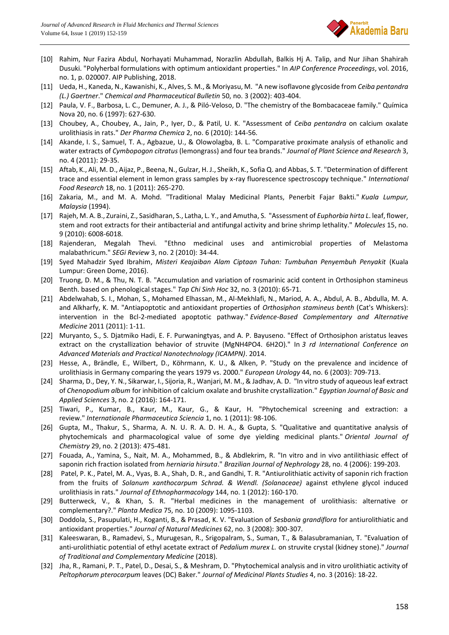

- [10] Rahim, Nur Fazira Abdul, Norhayati Muhammad, Norazlin Abdullah, Balkis Hj A. Talip, and Nur Jihan Shahirah Dusuki. "Polyherbal formulations with optimum antioxidant properties." In *AIP Conference Proceedings*, vol. 2016, no. 1, p. 020007. AIP Publishing, 2018.
- [11] Ueda, H., Kaneda, N., Kawanishi, K., Alves, S. M., & Moriyasu, M. "A new isoflavone glycoside from *Ceiba pentandra (L.) Gaertner*." *Chemical and Pharmaceutical Bulletin* 50, no. 3 (2002): 403-404.
- [12] Paula, V. F., Barbosa, L. C., Demuner, A. J., & Piló-Veloso, D. "The chemistry of the Bombacaceae family." Química Nova 20, no. 6 (1997): 627-630.
- [13] Choubey, A., Choubey, A., Jain, P., Iyer, D., & Patil, U. K. "Assessment of *Ceiba pentandra* on calcium oxalate urolithiasis in rats." *Der Pharma Chemica* 2, no. 6 (2010): 144-56.
- [14] Akande, I. S., Samuel, T. A., Agbazue, U., & Olowolagba, B. L. "Comparative proximate analysis of ethanolic and water extracts of *Cymbopogon citratus* (lemongrass) and four tea brands." *Journal of Plant Science and Research* 3, no. 4 (2011): 29-35.
- [15] Aftab, K., Ali, M. D., Aijaz, P., Beena, N., Gulzar, H. J., Sheikh, K., Sofia Q. and Abbas, S. T. "Determination of different trace and essential element in lemon grass samples by x-ray fluorescence spectroscopy technique." *International Food Research* 18, no. 1 (2011): 265-270.
- [16] Zakaria, M., and M. A. Mohd. "Traditional Malay Medicinal Plants, Penerbit Fajar Bakti." *Kuala Lumpur, Malaysia* (1994).
- [17] Rajeh, M. A. B., Zuraini, Z., Sasidharan, S., Latha, L. Y., and Amutha, S. "Assessment of *Euphorbia hirta L*. leaf, flower, stem and root extracts for their antibacterial and antifungal activity and brine shrimp lethality." *Molecules* 15, no. 9 (2010): 6008-6018.
- [18] Rajenderan, Megalah Thevi. "Ethno medicinal uses and antimicrobial properties of Melastoma malabathricum." *SEGi Review* 3, no. 2 (2010): 34-44.
- [19] Syed Mahadzir Syed Ibrahim, *Misteri Keajaiban Alam Ciptaan Tuhan: Tumbuhan Penyembuh Penyakit* (Kuala Lumpur: Green Dome, 2016).
- [20] Truong, D. M., & Thu, N. T. B. "Accumulation and variation of rosmarinic acid content in Orthosiphon stamineus Benth. based on phenological stages." *Tap Chi Sinh Hoc* 32, no. 3 (2010): 65-71.
- [21] Abdelwahab, S. I., Mohan, S., Mohamed Elhassan, M., Al-Mekhlafi, N., Mariod, A. A., Abdul, A. B., Abdulla, M. A. and Alkharfy, K. M. "Antiapoptotic and antioxidant properties of *Orthosiphon stamineus benth* (Cat's Whiskers): intervention in the Bcl-2-mediated apoptotic pathway." *Evidence-Based Complementary and Alternative Medicine* 2011 (2011): 1-11.
- [22] Muryanto, S., S. Djatmiko Hadi, E. F. Purwaningtyas, and A. P. Bayuseno. "Effect of Orthosiphon aristatus leaves extract on the crystallization behavior of struvite (MgNH4PO4. 6H2O)." In *3 rd International Conference on Advanced Materials and Practical Nanotechnology (ICAMPN)*. 2014.
- [23] Hesse, A., Brändle, E., Wilbert, D., Köhrmann, K. U., & Alken, P. "Study on the prevalence and incidence of urolithiasis in Germany comparing the years 1979 vs. 2000." *European Urology* 44, no. 6 (2003): 709-713.
- [24] Sharma, D., Dey, Y. N., Sikarwar, I., Sijoria, R., Wanjari, M. M., & Jadhav, A. D. "In vitro study of aqueous leaf extract of *Chenopodium album* for inhibition of calcium oxalate and brushite crystallization." *Egyptian Journal of Basic and Applied Sciences* 3, no. 2 (2016): 164-171.
- [25] Tiwari, P., Kumar, B., Kaur, M., Kaur, G., & Kaur, H. "Phytochemical screening and extraction: a review." *Internationale Pharmaceutica Sciencia* 1, no. 1 (2011): 98-106.
- [26] Gupta, M., Thakur, S., Sharma, A. N. U. R. A. D. H. A., & Gupta, S. "Qualitative and quantitative analysis of phytochemicals and pharmacological value of some dye yielding medicinal plants." *Oriental Journal of Chemistry* 29, no. 2 (2013): 475-481.
- [27] Fouada, A., Yamina, S., Nait, M. A., Mohammed, B., & Abdlekrim, R. "In vitro and in vivo antilithiasic effect of saponin rich fraction isolated from *herniaria hirsuta*." *Brazilian Journal of Nephrology* 28, no. 4 (2006): 199-203.
- [28] Patel, P. K., Patel, M. A., Vyas, B. A., Shah, D. R., and Gandhi, T. R. "Antiurolithiatic activity of saponin rich fraction from the fruits of *Solanum xanthocarpum Schrad. & Wendl. (Solanaceae)* against ethylene glycol induced urolithiasis in rats." *Journal of Ethnopharmacology* 144, no. 1 (2012): 160-170.
- [29] Butterweck, V., & Khan, S. R. "Herbal medicines in the management of urolithiasis: alternative or complementary?." *Planta Medica* 75, no. 10 (2009): 1095-1103.
- [30] Doddola, S., Pasupulati, H., Koganti, B., & Prasad, K. V. "Evaluation of *Sesbania grandiflora* for antiurolithiatic and antioxidant properties." *Journal of Natural Medicines* 62, no. 3 (2008): 300-307.
- [31] Kaleeswaran, B., Ramadevi, S., Murugesan, R., Srigopalram, S., Suman, T., & Balasubramanian, T. "Evaluation of anti-urolithiatic potential of ethyl acetate extract of *Pedalium murex L.* on struvite crystal (kidney stone)." *Journal of Traditional and Complementary Medicine* (2018).
- [32] Jha, R., Ramani, P. T., Patel, D., Desai, S., & Meshram, D. "Phytochemical analysis and in vitro urolithiatic activity of *Peltophorum pterocarpum* leaves (DC) Baker." *Journal of Medicinal Plants Studies* 4, no. 3 (2016): 18-22.